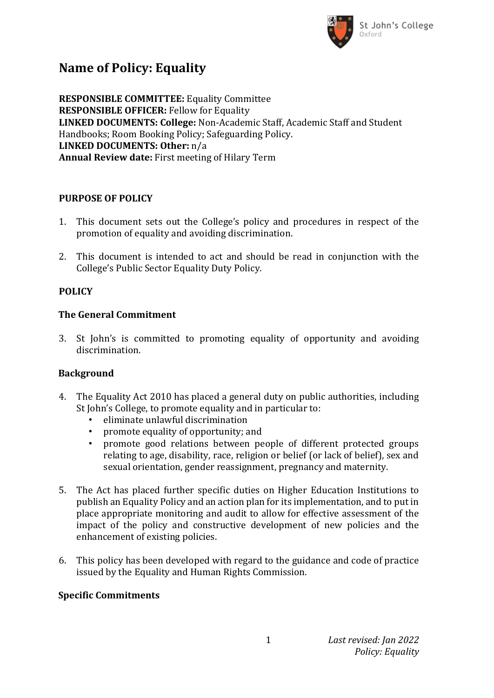

# **Name of Policy: Equality**

**RESPONSIBLE COMMITTEE:** Equality Committee **RESPONSIBLE OFFICER:** Fellow for Equality **LINKED DOCUMENTS: College:** Non-Academic Staff, Academic Staff and Student Handbooks; Room Booking Policy; Safeguarding Policy. **LINKED DOCUMENTS: Other:** n/a **Annual Review date:** First meeting of Hilary Term

## **PURPOSE OF POLICY**

- 1. This document sets out the College's policy and procedures in respect of the promotion of equality and avoiding discrimination.
- 2. This document is intended to act and should be read in conjunction with the College's Public Sector Equality Duty Policy.

# **POLICY**

# **The General Commitment**

3. St John's is committed to promoting equality of opportunity and avoiding discrimination.

# **Background**

- 4. The Equality Act 2010 has placed a general duty on public authorities, including St John's College, to promote equality and in particular to:
	- eliminate unlawful discrimination
	- promote equality of opportunity; and
	- promote good relations between people of different protected groups relating to age, disability, race, religion or belief (or lack of belief), sex and sexual orientation, gender reassignment, pregnancy and maternity.
- 5. The Act has placed further specific duties on Higher Education Institutions to publish an Equality Policy and an action plan for its implementation, and to put in place appropriate monitoring and audit to allow for effective assessment of the impact of the policy and constructive development of new policies and the enhancement of existing policies.
- 6. This policy has been developed with regard to the guidance and code of practice issued by the Equality and Human Rights Commission.

## **Specific Commitments**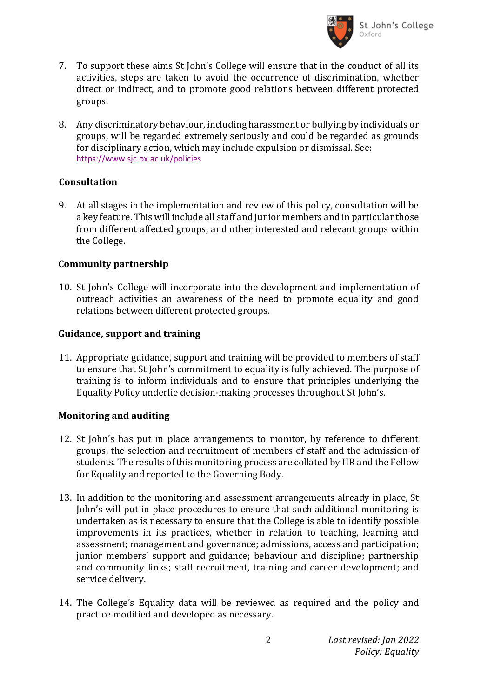

- 7. To support these aims St John's College will ensure that in the conduct of all its activities, steps are taken to avoid the occurrence of discrimination, whether direct or indirect, and to promote good relations between different protected groups.
- 8. Any discriminatory behaviour, including harassment or bullying by individuals or groups, will be regarded extremely seriously and could be regarded as grounds for disciplinary action, which may include expulsion or dismissal. See: <https://www.sjc.ox.ac.uk/policies>

#### **Consultation**

9. At all stages in the implementation and review of this policy, consultation will be a key feature. This will include all staff and junior members and in particular those from different affected groups, and other interested and relevant groups within the College.

#### **Community partnership**

10. St John's College will incorporate into the development and implementation of outreach activities an awareness of the need to promote equality and good relations between different protected groups.

### **Guidance, support and training**

11. Appropriate guidance, support and training will be provided to members of staff to ensure that St John's commitment to equality is fully achieved. The purpose of training is to inform individuals and to ensure that principles underlying the Equality Policy underlie decision-making processes throughout St John's.

## **Monitoring and auditing**

- 12. St John's has put in place arrangements to monitor, by reference to different groups, the selection and recruitment of members of staff and the admission of students. The results of this monitoring process are collated by HR and the Fellow for Equality and reported to the Governing Body.
- 13. In addition to the monitoring and assessment arrangements already in place, St John's will put in place procedures to ensure that such additional monitoring is undertaken as is necessary to ensure that the College is able to identify possible improvements in its practices, whether in relation to teaching, learning and assessment; management and governance; admissions, access and participation; junior members' support and guidance; behaviour and discipline; partnership and community links; staff recruitment, training and career development; and service delivery.
- 14. The College's Equality data will be reviewed as required and the policy and practice modified and developed as necessary.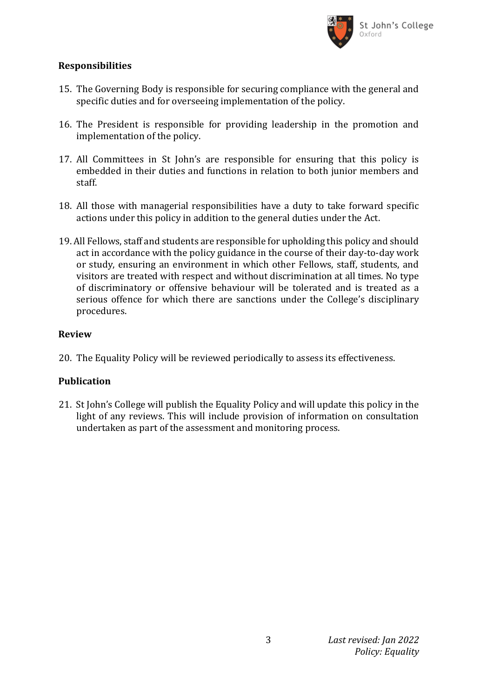

### **Responsibilities**

- 15. The Governing Body is responsible for securing compliance with the general and specific duties and for overseeing implementation of the policy.
- 16. The President is responsible for providing leadership in the promotion and implementation of the policy.
- 17. All Committees in St John's are responsible for ensuring that this policy is embedded in their duties and functions in relation to both junior members and staff.
- 18. All those with managerial responsibilities have a duty to take forward specific actions under this policy in addition to the general duties under the Act.
- 19. All Fellows, staff and students are responsible for upholding this policy and should act in accordance with the policy guidance in the course of their day-to-day work or study, ensuring an environment in which other Fellows, staff, students, and visitors are treated with respect and without discrimination at all times. No type of discriminatory or offensive behaviour will be tolerated and is treated as a serious offence for which there are sanctions under the College's disciplinary procedures.

#### **Review**

20. The Equality Policy will be reviewed periodically to assess its effectiveness.

## **Publication**

21. St John's College will publish the Equality Policy and will update this policy in the light of any reviews. This will include provision of information on consultation undertaken as part of the assessment and monitoring process.